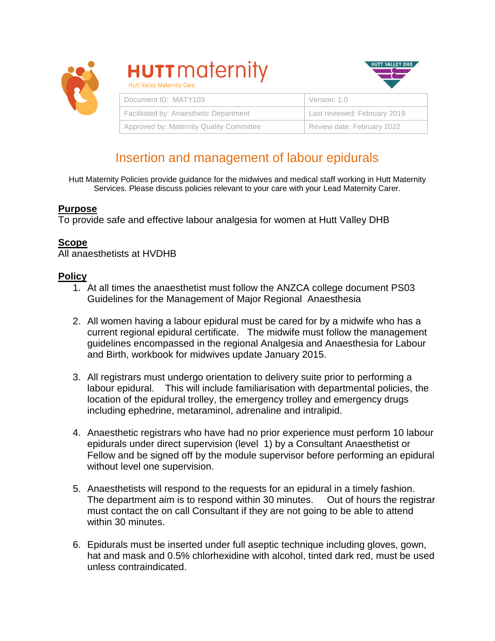

| <b>HUTTMAIRMIIV</b><br><b>Hutt Valley Maternity Care</b> |                              |
|----------------------------------------------------------|------------------------------|
| Document ID: MATY103                                     | Version: 1.0                 |
| Facilitated by: Anaesthetic Department                   | Last reviewed: February 2019 |
| Approved by: Maternity Quality Committee                 | Review date: February 2022   |

HUTT VALLEY DHB

# Insertion and management of labour epidurals

Hutt Maternity Policies provide guidance for the midwives and medical staff working in Hutt Maternity Services. Please discuss policies relevant to your care with your Lead Maternity Carer.

# **Purpose**

To provide safe and effective labour analgesia for women at Hutt Valley DHB

 $\blacksquare$ 

# **Scope**

All anaesthetists at HVDHB

# **Policy**

- 1. At all times the anaesthetist must follow the ANZCA college document PS03 Guidelines for the Management of Major Regional Anaesthesia
- 2. All women having a labour epidural must be cared for by a midwife who has a current regional epidural certificate. The midwife must follow the management guidelines encompassed in the regional Analgesia and Anaesthesia for Labour and Birth, workbook for midwives update January 2015.
- 3. All registrars must undergo orientation to delivery suite prior to performing a labour epidural. This will include familiarisation with departmental policies, the location of the epidural trolley, the emergency trolley and emergency drugs including ephedrine, metaraminol, adrenaline and intralipid.
- 4. Anaesthetic registrars who have had no prior experience must perform 10 labour epidurals under direct supervision (level 1) by a Consultant Anaesthetist or Fellow and be signed off by the module supervisor before performing an epidural without level one supervision.
- 5. Anaesthetists will respond to the requests for an epidural in a timely fashion. The department aim is to respond within 30 minutes. Out of hours the registrar must contact the on call Consultant if they are not going to be able to attend within 30 minutes.
- 6. Epidurals must be inserted under full aseptic technique including gloves, gown, hat and mask and 0.5% chlorhexidine with alcohol, tinted dark red, must be used unless contraindicated.